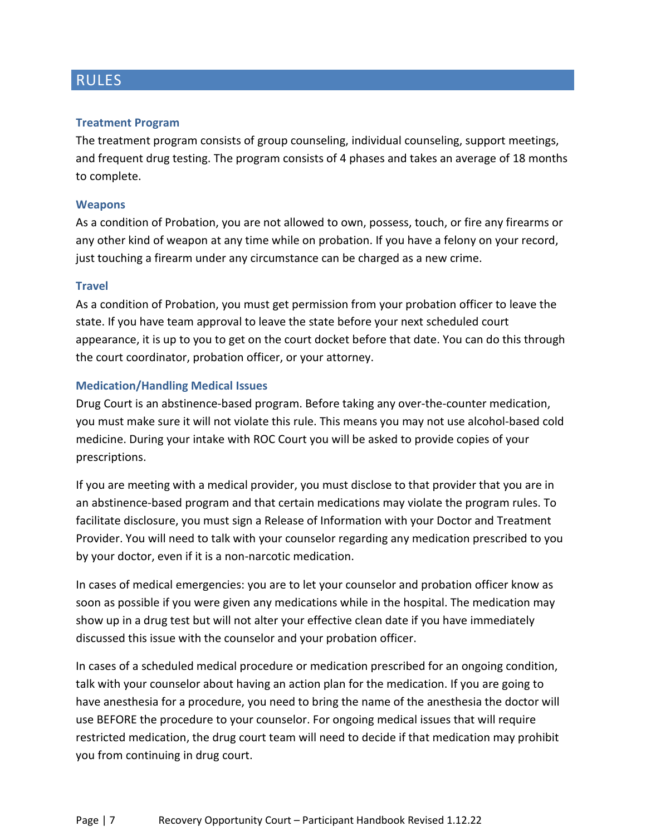### RULES

### **Treatment Program**

The treatment program consists of group counseling, individual counseling, support meetings, and frequent drug testing. The program consists of 4 phases and takes an average of 18 months to complete.

### **Weapons**

As a condition of Probation, you are not allowed to own, possess, touch, or fire any firearms or any other kind of weapon at any time while on probation. If you have a felony on your record, just touching a firearm under any circumstance can be charged as a new crime.

### **Travel**

As a condition of Probation, you must get permission from your probation officer to leave the state. If you have team approval to leave the state before your next scheduled court appearance, it is up to you to get on the court docket before that date. You can do this through the court coordinator, probation officer, or your attorney.

### **Medication/Handling Medical Issues**

Drug Court is an abstinence-based program. Before taking any over-the-counter medication, you must make sure it will not violate this rule. This means you may not use alcohol-based cold medicine. During your intake with ROC Court you will be asked to provide copies of your prescriptions.

If you are meeting with a medical provider, you must disclose to that provider that you are in an abstinence-based program and that certain medications may violate the program rules. To facilitate disclosure, you must sign a Release of Information with your Doctor and Treatment Provider. You will need to talk with your counselor regarding any medication prescribed to you by your doctor, even if it is a non-narcotic medication.

In cases of medical emergencies: you are to let your counselor and probation officer know as soon as possible if you were given any medications while in the hospital. The medication may show up in a drug test but will not alter your effective clean date if you have immediately discussed this issue with the counselor and your probation officer.

In cases of a scheduled medical procedure or medication prescribed for an ongoing condition, talk with your counselor about having an action plan for the medication. If you are going to have anesthesia for a procedure, you need to bring the name of the anesthesia the doctor will use BEFORE the procedure to your counselor. For ongoing medical issues that will require restricted medication, the drug court team will need to decide if that medication may prohibit you from continuing in drug court.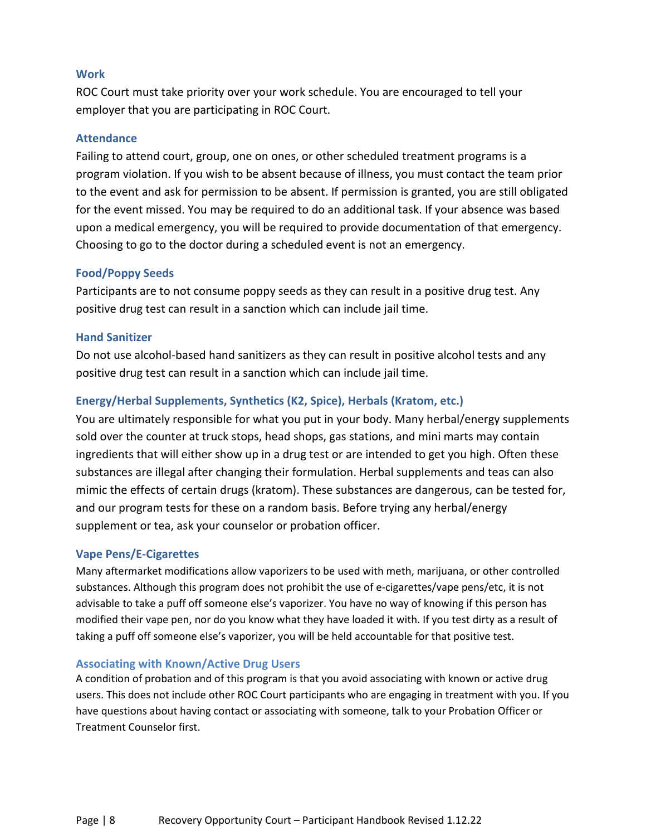### **Work**

ROC Court must take priority over your work schedule. You are encouraged to tell your employer that you are participating in ROC Court.

### **Attendance**

Failing to attend court, group, one on ones, or other scheduled treatment programs is a program violation. If you wish to be absent because of illness, you must contact the team prior to the event and ask for permission to be absent. If permission is granted, you are still obligated for the event missed. You may be required to do an additional task. If your absence was based upon a medical emergency, you will be required to provide documentation of that emergency. Choosing to go to the doctor during a scheduled event is not an emergency.

### **Food/Poppy Seeds**

Participants are to not consume poppy seeds as they can result in a positive drug test. Any positive drug test can result in a sanction which can include jail time.

### **Hand Sanitizer**

Do not use alcohol-based hand sanitizers as they can result in positive alcohol tests and any positive drug test can result in a sanction which can include jail time.

### **Energy/Herbal Supplements, Synthetics (K2, Spice), Herbals (Kratom, etc.)**

You are ultimately responsible for what you put in your body. Many herbal/energy supplements sold over the counter at truck stops, head shops, gas stations, and mini marts may contain ingredients that will either show up in a drug test or are intended to get you high. Often these substances are illegal after changing their formulation. Herbal supplements and teas can also mimic the effects of certain drugs (kratom). These substances are dangerous, can be tested for, and our program tests for these on a random basis. Before trying any herbal/energy supplement or tea, ask your counselor or probation officer.

### **Vape Pens/E-Cigarettes**

Many aftermarket modifications allow vaporizers to be used with meth, marijuana, or other controlled substances. Although this program does not prohibit the use of e-cigarettes/vape pens/etc, it is not advisable to take a puff off someone else's vaporizer. You have no way of knowing if this person has modified their vape pen, nor do you know what they have loaded it with. If you test dirty as a result of taking a puff off someone else's vaporizer, you will be held accountable for that positive test.

### **Associating with Known/Active Drug Users**

A condition of probation and of this program is that you avoid associating with known or active drug users. This does not include other ROC Court participants who are engaging in treatment with you. If you have questions about having contact or associating with someone, talk to your Probation Officer or Treatment Counselor first.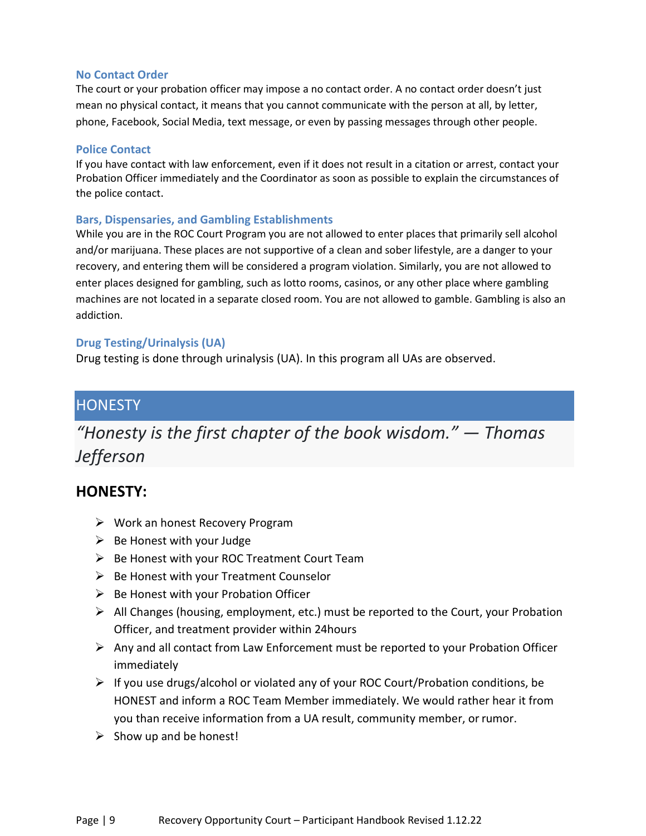### **No Contact Order**

The court or your probation officer may impose a no contact order. A no contact order doesn't just mean no physical contact, it means that you cannot communicate with the person at all, by letter, phone, Facebook, Social Media, text message, or even by passing messages through other people.

### **Police Contact**

If you have contact with law enforcement, even if it does not result in a citation or arrest, contact your Probation Officer immediately and the Coordinator as soon as possible to explain the circumstances of the police contact.

### **Bars, Dispensaries, and Gambling Establishments**

While you are in the ROC Court Program you are not allowed to enter places that primarily sell alcohol and/or marijuana. These places are not supportive of a clean and sober lifestyle, are a danger to your recovery, and entering them will be considered a program violation. Similarly, you are not allowed to enter places designed for gambling, such as lotto rooms, casinos, or any other place where gambling machines are not located in a separate closed room. You are not allowed to gamble. Gambling is also an addiction.

### **Drug Testing/Urinalysis (UA)**

Drug testing is done through urinalysis (UA). In this program all UAs are observed.

### **HONESTY**

# *"Honesty is the first chapter of the book wisdom." ― Thomas Jefferson*

### **HONESTY:**

- $\triangleright$  Work an honest Recovery Program
- $\triangleright$  Be Honest with your Judge
- $\triangleright$  Be Honest with your ROC Treatment Court Team
- $\triangleright$  Be Honest with your Treatment Counselor
- $\triangleright$  Be Honest with your Probation Officer
- $\triangleright$  All Changes (housing, employment, etc.) must be reported to the Court, your Probation Officer, and treatment provider within 24hours
- $\triangleright$  Any and all contact from Law Enforcement must be reported to your Probation Officer immediately
- $\triangleright$  If you use drugs/alcohol or violated any of your ROC Court/Probation conditions, be HONEST and inform a ROC Team Member immediately. We would rather hear it from you than receive information from a UA result, community member, orrumor.
- $\triangleright$  Show up and be honest!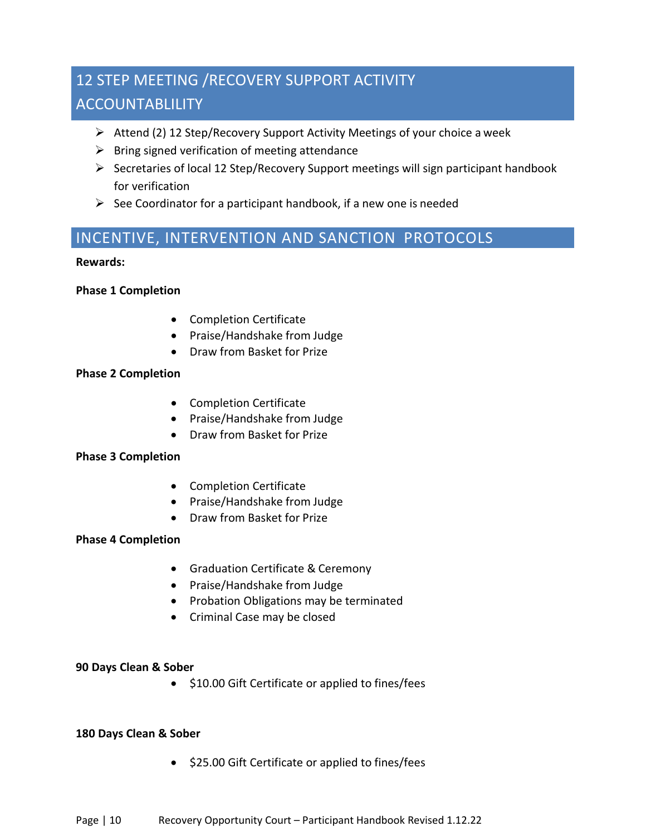# 12 STEP MEETING /RECOVERY SUPPORT ACTIVITY ACCOUNTABLILITY

- Attend (2) 12 Step/Recovery Support Activity Meetings of your choice a week
- $\triangleright$  Bring signed verification of meeting attendance
- $\triangleright$  Secretaries of local 12 Step/Recovery Support meetings will sign participant handbook for verification
- $\triangleright$  See Coordinator for a participant handbook, if a new one is needed

### INCENTIVE, INTERVENTION AND SANCTION PROTOCOLS

### **Rewards:**

### **Phase 1 Completion**

- Completion Certificate
- Praise/Handshake from Judge
- Draw from Basket for Prize

### **Phase 2 Completion**

- Completion Certificate
- Praise/Handshake from Judge
- Draw from Basket for Prize

### **Phase 3 Completion**

- Completion Certificate
- Praise/Handshake from Judge
- Draw from Basket for Prize

### **Phase 4 Completion**

- Graduation Certificate & Ceremony
- Praise/Handshake from Judge
- Probation Obligations may be terminated
- Criminal Case may be closed

### **90 Days Clean & Sober**

• \$10.00 Gift Certificate or applied to fines/fees

### **180 Days Clean & Sober**

• \$25.00 Gift Certificate or applied to fines/fees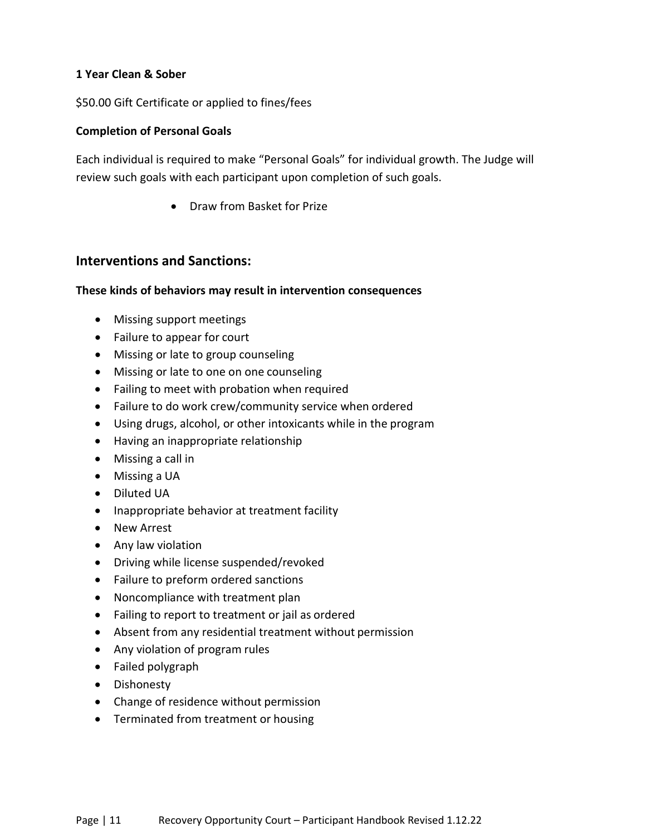### **1 Year Clean & Sober**

\$50.00 Gift Certificate or applied to fines/fees

### **Completion of Personal Goals**

Each individual is required to make "Personal Goals" for individual growth. The Judge will review such goals with each participant upon completion of such goals.

• Draw from Basket for Prize

### **Interventions and Sanctions:**

### **These kinds of behaviors may result in intervention consequences**

- Missing support meetings
- Failure to appear for court
- Missing or late to group counseling
- Missing or late to one on one counseling
- Failing to meet with probation when required
- Failure to do work crew/community service when ordered
- Using drugs, alcohol, or other intoxicants while in the program
- Having an inappropriate relationship
- Missing a call in
- Missing a UA
- Diluted UA
- Inappropriate behavior at treatment facility
- New Arrest
- Any law violation
- Driving while license suspended/revoked
- Failure to preform ordered sanctions
- Noncompliance with treatment plan
- Failing to report to treatment or jail as ordered
- Absent from any residential treatment without permission
- Any violation of program rules
- Failed polygraph
- Dishonesty
- Change of residence without permission
- Terminated from treatment or housing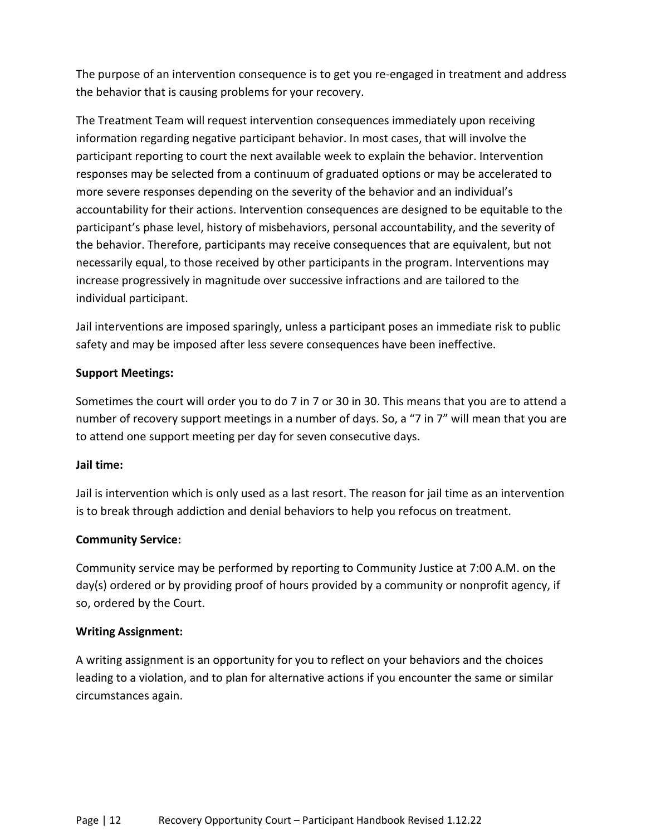The purpose of an intervention consequence is to get you re-engaged in treatment and address the behavior that is causing problems for your recovery.

The Treatment Team will request intervention consequences immediately upon receiving information regarding negative participant behavior. In most cases, that will involve the participant reporting to court the next available week to explain the behavior. Intervention responses may be selected from a continuum of graduated options or may be accelerated to more severe responses depending on the severity of the behavior and an individual's accountability for their actions. Intervention consequences are designed to be equitable to the participant's phase level, history of misbehaviors, personal accountability, and the severity of the behavior. Therefore, participants may receive consequences that are equivalent, but not necessarily equal, to those received by other participants in the program. Interventions may increase progressively in magnitude over successive infractions and are tailored to the individual participant.

Jail interventions are imposed sparingly, unless a participant poses an immediate risk to public safety and may be imposed after less severe consequences have been ineffective.

### **Support Meetings:**

Sometimes the court will order you to do 7 in 7 or 30 in 30. This means that you are to attend a number of recovery support meetings in a number of days. So, a "7 in 7" will mean that you are to attend one support meeting per day for seven consecutive days.

### **Jail time:**

Jail is intervention which is only used as a last resort. The reason for jail time as an intervention is to break through addiction and denial behaviors to help you refocus on treatment.

### **Community Service:**

Community service may be performed by reporting to Community Justice at 7:00 A.M. on the day(s) ordered or by providing proof of hours provided by a community or nonprofit agency, if so, ordered by the Court.

### **Writing Assignment:**

A writing assignment is an opportunity for you to reflect on your behaviors and the choices leading to a violation, and to plan for alternative actions if you encounter the same or similar circumstances again.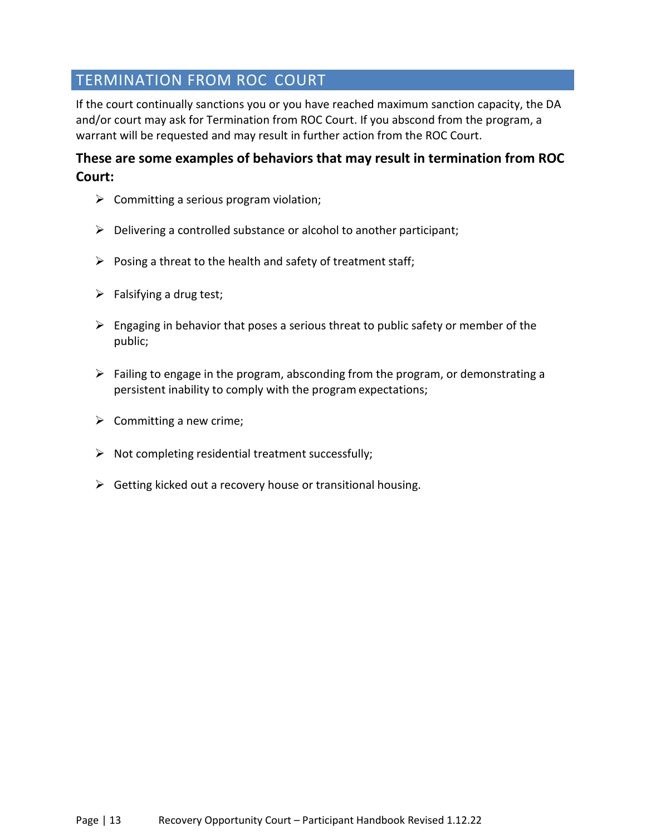## TERMINATION FROM ROC COURT

If the court continually sanctions you or you have reached maximum sanction capacity, the DA and/or court may ask for Termination from ROC Court. If you abscond from the program, a warrant will be requested and may result in further action from the ROC Court.

### **These are some examples of behaviors that may result in termination from ROC Court:**

- $\triangleright$  Committing a serious program violation;
- $\triangleright$  Delivering a controlled substance or alcohol to another participant;
- $\triangleright$  Posing a threat to the health and safety of treatment staff;
- $\triangleright$  Falsifying a drug test;
- $\triangleright$  Engaging in behavior that poses a serious threat to public safety or member of the public;
- $\triangleright$  Failing to engage in the program, absconding from the program, or demonstrating a persistent inability to comply with the program expectations;
- $\triangleright$  Committing a new crime;
- $\triangleright$  Not completing residential treatment successfully;
- $\triangleright$  Getting kicked out a recovery house or transitional housing.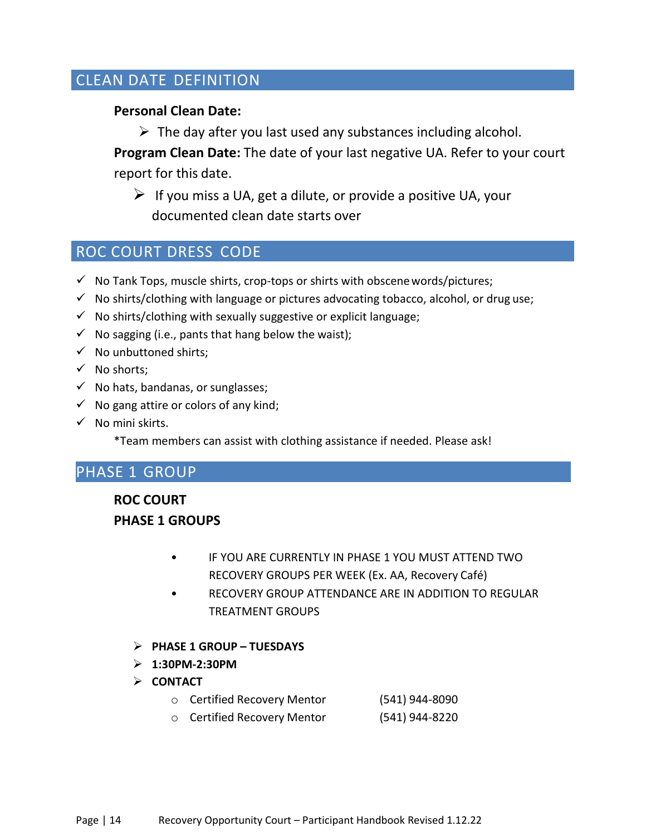## CLEAN DATE DEFINITION

### **Personal Clean Date:**

 $\triangleright$  The day after you last used any substances including alcohol.

**Program Clean Date:** The date of your last negative UA. Refer to your court report for this date.

 $\triangleright$  If you miss a UA, get a dilute, or provide a positive UA, your documented clean date starts over

### ROC COURT DRESS CODE

- $\checkmark$  No Tank Tops, muscle shirts, crop-tops or shirts with obscene words/pictures;
- $\checkmark$  No shirts/clothing with language or pictures advocating tobacco, alcohol, or drug use;
- $\checkmark$  No shirts/clothing with sexually suggestive or explicit language;
- $\checkmark$  No sagging (i.e., pants that hang below the waist);
- $\checkmark$  No unbuttoned shirts;
- $\checkmark$  No shorts;
- $\checkmark$  No hats, bandanas, or sunglasses;
- $\checkmark$  No gang attire or colors of any kind;
- $\checkmark$  No mini skirts.

\*Team members can assist with clothing assistance if needed. Please ask!

### PHASE 1 GROUP

**ROC COURT PHASE 1 GROUPS**

- IF YOU ARE CURRENTLY IN PHASE 1 YOU MUST ATTEND TWO RECOVERY GROUPS PER WEEK (Ex. AA, Recovery Café)
- RECOVERY GROUP ATTENDANCE ARE IN ADDITION TO REGULAR TREATMENT GROUPS
- **PHASE 1 GROUP TUESDAYS**
- **1:30PM-2:30PM**
- **CONTACT**
	- o Certified Recovery Mentor (541) 944-8090
	- o Certified Recovery Mentor (541) 944-8220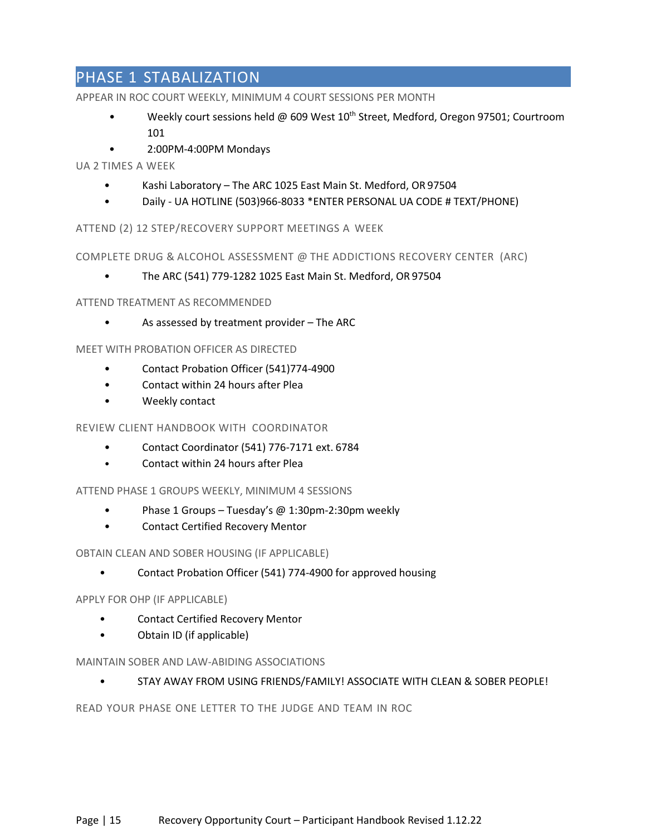## PHASE 1 STABALIZATION

APPEAR IN ROC COURT WEEKLY, MINIMUM 4 COURT SESSIONS PER MONTH

- Weekly court sessions held @ 609 West  $10^{th}$  Street, Medford, Oregon 97501; Courtroom 101
- 2:00PM-4:00PM Mondays

### UA 2 TIMES A WEEK

- Kashi Laboratory The ARC 1025 East Main St. Medford, OR 97504
- Daily UA HOTLINE (503)966-8033 \*ENTER PERSONAL UA CODE # TEXT/PHONE)

### ATTEND (2) 12 STEP/RECOVERY SUPPORT MEETINGS A WEEK

COMPLETE DRUG & ALCOHOL ASSESSMENT @ THE ADDICTIONS RECOVERY CENTER (ARC)

• The ARC (541) 779-1282 1025 East Main St. Medford, OR 97504

### ATTEND TREATMENT AS RECOMMENDED

• As assessed by treatment provider – The ARC

### MEET WITH PROBATION OFFICER AS DIRECTED

- Contact Probation Officer (541)774-4900
- Contact within 24 hours after Plea
- Weekly contact

### REVIEW CLIENT HANDBOOK WITH COORDINATOR

- Contact Coordinator (541) 776-7171 ext. 71096
- Contact within 24 hours after Plea

### ATTEND PHASE 1 GROUPS WEEKLY, MINIMUM 4 SESSIONS

- Phase 1 Groups Tuesday's @ 1:30pm-2:30pm weekly
- Contact Certified Recovery Mentor

### OBTAIN CLEAN AND SOBER HOUSING (IF APPLICABLE)

• Contact Probation Officer (541) 774-4900 for approved housing

### APPLY FOR OHP (IF APPLICABLE)

- Contact Certified Recovery Mentor
- Obtain ID (if applicable)

### MAINTAIN SOBER AND LAW-ABIDING ASSOCIATIONS

### • STAY AWAY FROM USING FRIENDS/FAMILY! ASSOCIATE WITH CLEAN & SOBER PEOPLE!

READ YOUR PHASE ONE LETTER TO THE JUDGE AND TEAM IN ROC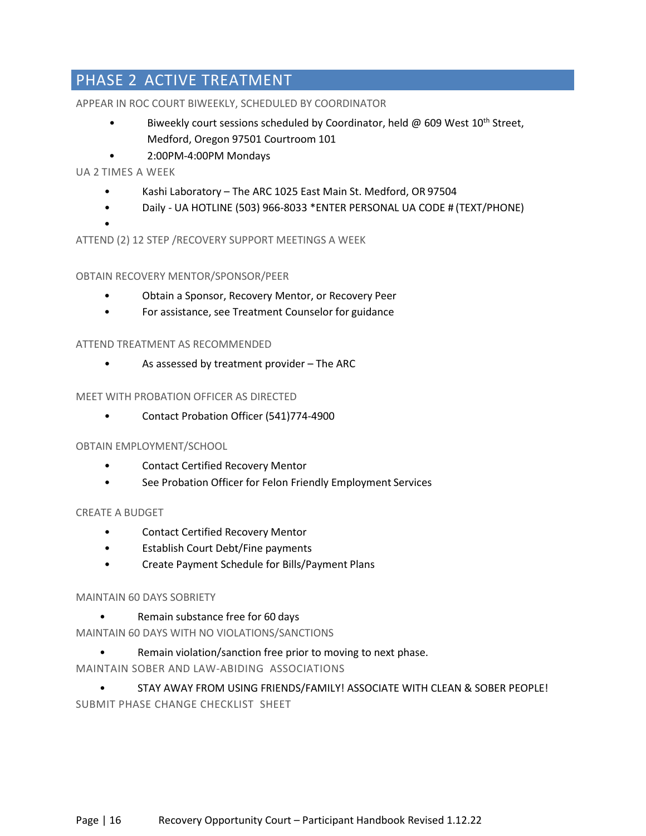# PHASE 2 ACTIVE TREATMENT

### APPEAR IN ROC COURT BIWEEKLY, SCHEDULED BY COORDINATOR

- Biweekly court sessions scheduled by Coordinator, held  $\varpi$  609 West 10<sup>th</sup> Street, Medford, Oregon 97501 Courtroom 101
- 2:00PM-4:00PM Mondays

### UA 2 TIMES A WEEK

- Kashi Laboratory The ARC 1025 East Main St. Medford, OR 97504
- Daily UA HOTLINE (503) 966-8033 \*ENTER PERSONAL UA CODE # (TEXT/PHONE)
- ATTEND (2) 12 STEP /RECOVERY SUPPORT MEETINGS A WEEK

### OBTAIN RECOVERY MENTOR/SPONSOR/PEER

- Obtain a Sponsor, Recovery Mentor, or Recovery Peer
- For assistance, see Treatment Counselor for guidance

### ATTEND TREATMENT AS RECOMMENDED

• As assessed by treatment provider – The ARC

### MEET WITH PROBATION OFFICER AS DIRECTED

• Contact Probation Officer (541)774-4900

### OBTAIN EMPLOYMENT/SCHOOL

- Contact Certified Recovery Mentor
- See Probation Officer for Felon Friendly Employment Services

### CREATE A BUDGET

- Contact Certified Recovery Mentor
- Establish Court Debt/Fine payments
- Create Payment Schedule for Bills/Payment Plans

### MAINTAIN 60 DAYS SOBRIETY

- Remain substance free for 60 days
- MAINTAIN 60 DAYS WITH NO VIOLATIONS/SANCTIONS
	- Remain violation/sanction free prior to moving to next phase.
- MAINTAIN SOBER AND LAW-ABIDING ASSOCIATIONS

• STAY AWAY FROM USING FRIENDS/FAMILY! ASSOCIATE WITH CLEAN & SOBER PEOPLE! SUBMIT PHASE CHANGE CHECKLIST SHEET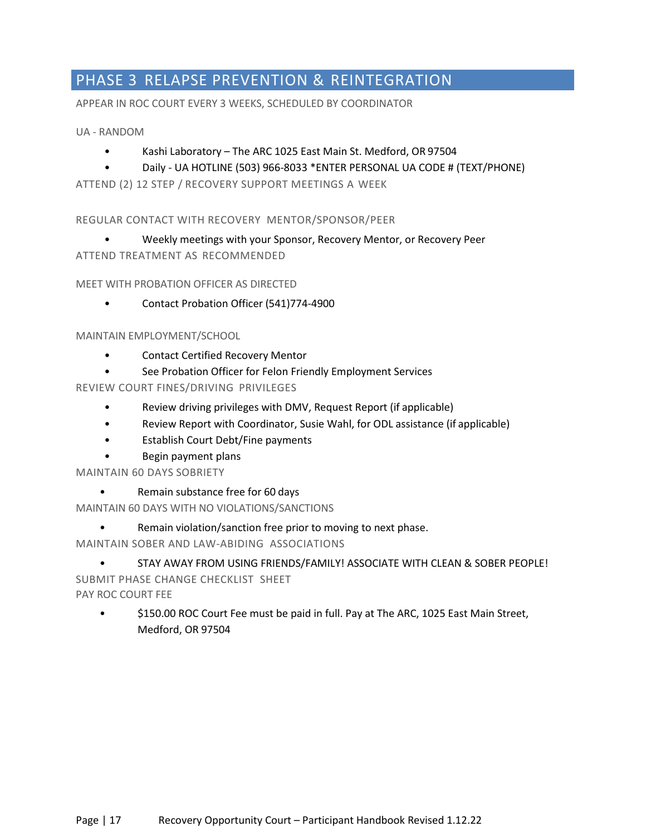## PHASE 3 RELAPSE PREVENTION & REINTEGRATION

APPEAR IN ROC COURT EVERY 3 WEEKS, SCHEDULED BY COORDINATOR

### UA - RANDOM

- Kashi Laboratory The ARC 1025 East Main St. Medford, OR 97504
- Daily UA HOTLINE (503) 966-8033 \*ENTER PERSONAL UA CODE # (TEXT/PHONE)

ATTEND (2) 12 STEP / RECOVERY SUPPORT MEETINGS A WEEK

### REGULAR CONTACT WITH RECOVERY MENTOR/SPONSOR/PEER

• Weekly meetings with your Sponsor, Recovery Mentor, or Recovery Peer

ATTEND TREATMENT AS RECOMMENDED

### MEET WITH PROBATION OFFICER AS DIRECTED

• Contact Probation Officer (541)774-4900

### MAINTAIN EMPLOYMENT/SCHOOL

- Contact Certified Recovery Mentor
- See Probation Officer for Felon Friendly Employment Services

### REVIEW COURT FINES/DRIVING PRIVILEGES

- Review driving privileges with DMV, Request Report (if applicable)
- Review Report with Coordinator, Susie Wahl, for ODL assistance (if applicable)
- Establish Court Debt/Fine payments
- Begin payment plans

MAINTAIN 60 DAYS SOBRIETY

• Remain substance free for 60 days

MAINTAIN 60 DAYS WITH NO VIOLATIONS/SANCTIONS

Remain violation/sanction free prior to moving to next phase.

MAINTAIN SOBER AND LAW-ABIDING ASSOCIATIONS

# • STAY AWAY FROM USING FRIENDS/FAMILY! ASSOCIATE WITH CLEAN & SOBER PEOPLE! SUBMIT PHASE CHANGE CHECKLIST SHEET

PAY ROC COURT FEE

• \$150.00 ROC Court Fee must be paid in full. Pay at The ARC, 1025 East Main Street, Medford, OR 97504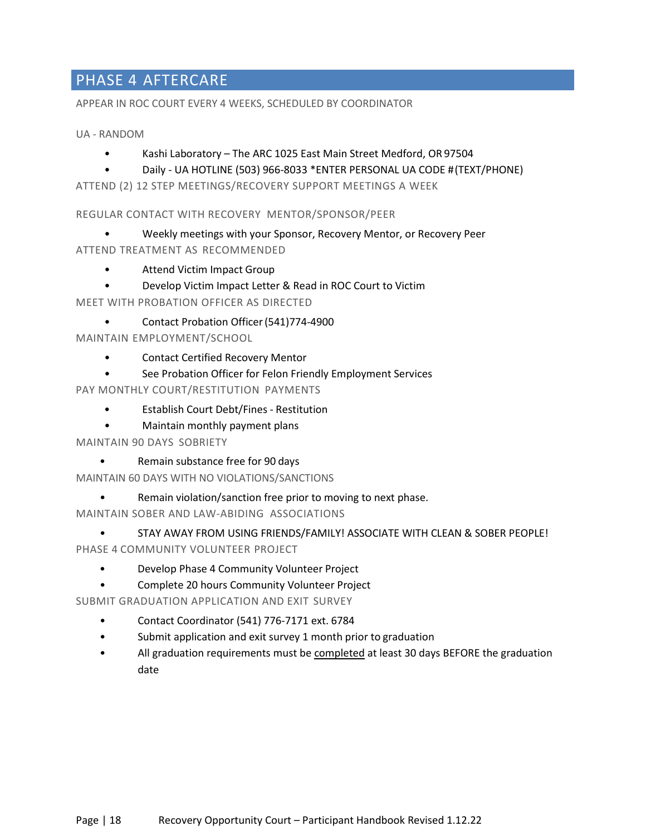## PHASE 4 AFTERCARE

APPEAR IN ROC COURT EVERY 4 WEEKS, SCHEDULED BY COORDINATOR

UA - RANDOM

- Kashi Laboratory The ARC 1025 East Main Street Medford, OR 97504
- Daily UA HOTLINE (503) 966-8033 \*ENTER PERSONAL UA CODE #(TEXT/PHONE)

ATTEND (2) 12 STEP MEETINGS/RECOVERY SUPPORT MEETINGS A WEEK

REGULAR CONTACT WITH RECOVERY MENTOR/SPONSOR/PEER

- Weekly meetings with your Sponsor, Recovery Mentor, or Recovery Peer
- ATTEND TREATMENT AS RECOMMENDED
	- Attend Victim Impact Group
	- Develop Victim Impact Letter & Read in ROC Court to Victim

MEET WITH PROBATION OFFICER AS DIRECTED

• Contact Probation Officer(541)774-4900

MAINTAIN EMPLOYMENT/SCHOOL

- Contact Certified Recovery Mentor
- See Probation Officer for Felon Friendly Employment Services

PAY MONTHLY COURT/RESTITUTION PAYMENTS

- Establish Court Debt/Fines Restitution
- Maintain monthly payment plans

MAINTAIN 90 DAYS SOBRIETY

• Remain substance free for 90 days

MAINTAIN 60 DAYS WITH NO VIOLATIONS/SANCTIONS

- Remain violation/sanction free prior to moving to next phase.
- MAINTAIN SOBER AND LAW-ABIDING ASSOCIATIONS
- STAY AWAY FROM USING FRIENDS/FAMILY! ASSOCIATE WITH CLEAN & SOBER PEOPLE! PHASE 4 COMMUNITY VOLUNTEER PROJECT
	- Develop Phase 4 Community Volunteer Project
	- Complete 20 hours Community Volunteer Project

SUBMIT GRADUATION APPLICATION AND EXIT SURVEY

- Contact Coordinator (541) 776-7171 ext. 71096
- Submit application and exit survey 1 month prior to graduation
- All graduation requirements must be completed at least 30 days BEFORE the graduation date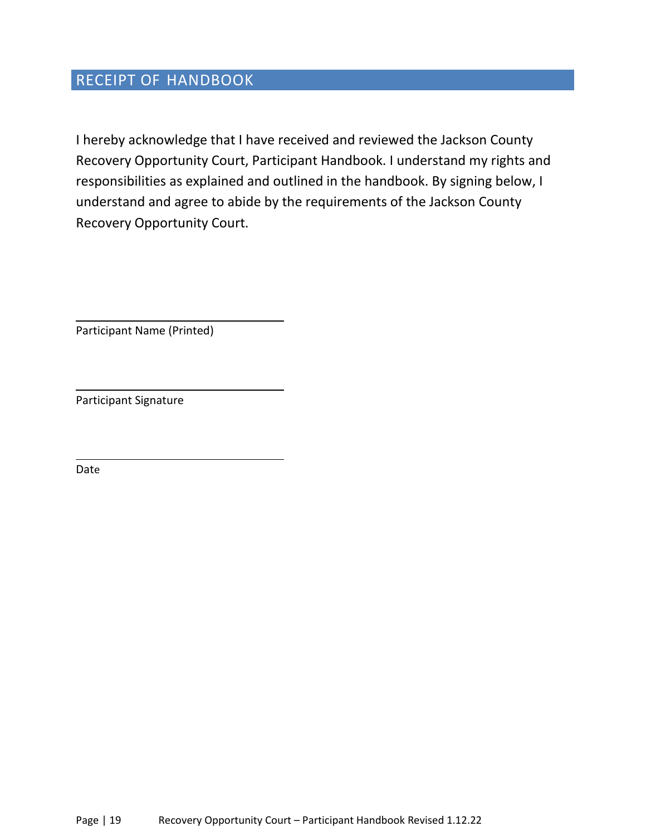## RECEIPT OF HANDBOOK

I hereby acknowledge that I have received and reviewed the Jackson County Recovery Opportunity Court, Participant Handbook. I understand my rights and responsibilities as explained and outlined in the handbook. By signing below, I understand and agree to abide by the requirements of the Jackson County Recovery Opportunity Court.

Participant Name (Printed)

Participant Signature

Date